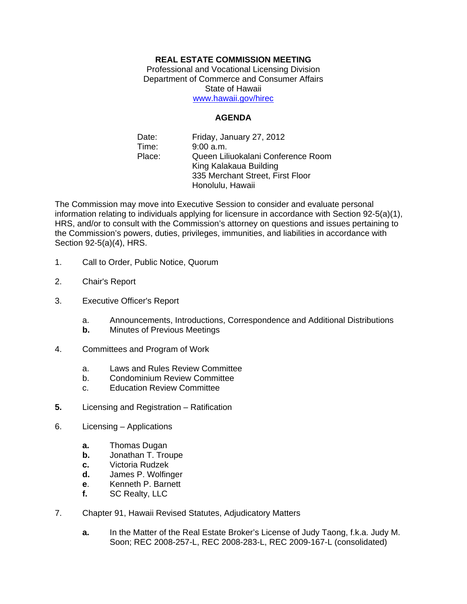## **REAL ESTATE COMMISSION MEETING**

Professional and Vocational Licensing Division Department of Commerce and Consumer Affairs State of Hawaii www.hawaii.gov/hirec

## **AGENDA**

Date: Friday, January 27, 2012 Time: 9:00 a.m. Place: Queen Liliuokalani Conference Room King Kalakaua Building 335 Merchant Street, First Floor Honolulu, Hawaii

The Commission may move into Executive Session to consider and evaluate personal information relating to individuals applying for licensure in accordance with Section 92-5(a)(1), HRS, and/or to consult with the Commission's attorney on questions and issues pertaining to the Commission's powers, duties, privileges, immunities, and liabilities in accordance with Section 92-5(a)(4), HRS.

- 1. Call to Order, Public Notice, Quorum
- 2. Chair's Report
- 3. Executive Officer's Report
	- a. Announcements, Introductions, Correspondence and Additional Distributions
	- **b.** Minutes of Previous Meetings
- 4. Committees and Program of Work
	- a. Laws and Rules Review Committee
	- b. Condominium Review Committee
	- c. Education Review Committee
- **5.** Licensing and Registration Ratification
- 6. Licensing Applications
	- **a.** Thomas Dugan
	- **b.** Jonathan T. Troupe
	- **c.** Victoria Rudzek
	- **d.** James P. Wolfinger
	- **e**. Kenneth P. Barnett
	- **f.** SC Realty, LLC
- 7. Chapter 91, Hawaii Revised Statutes, Adjudicatory Matters
	- **a.** In the Matter of the Real Estate Broker's License of Judy Taong, f.k.a. Judy M. Soon; REC 2008-257-L, REC 2008-283-L, REC 2009-167-L (consolidated)